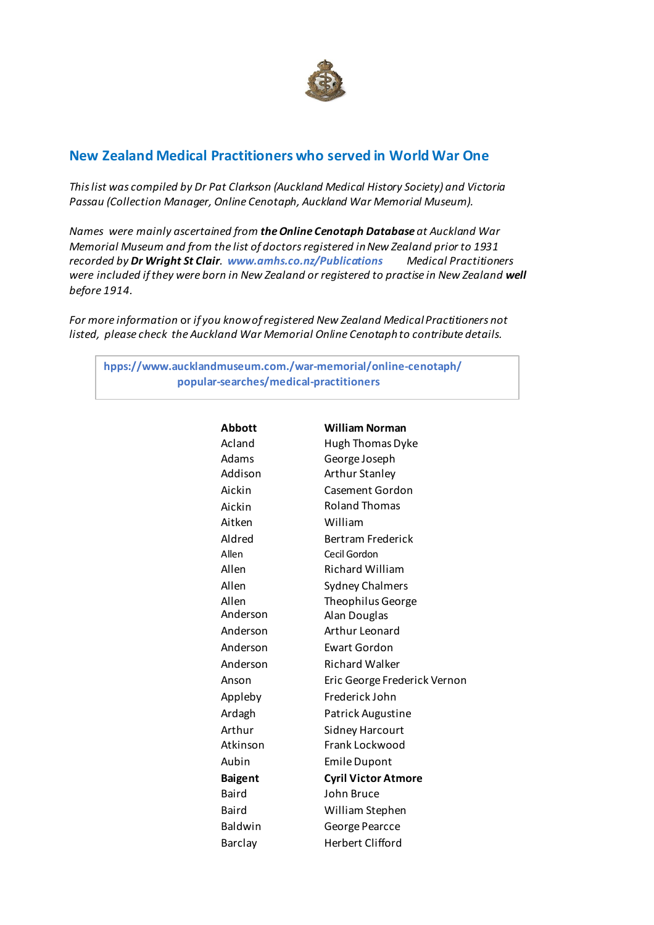

## **New Zealand Medical Practitioners who served in World War One**

*This list was compiled by Dr Pat Clarkson (Auckland Medical History Society) and Victoria Passau (Collection Manager, Online Cenotaph, Auckland War Memorial Museum).*

*Names were mainly ascertained from the Online Cenotaph Database at Auckland War Memorial Museum and from the list of doctors registered in New Zealand prior to 1931 recorded by Dr Wright St Clair. www.amhs.co.nz/Publications Medical Practitioners were included if they were born in New Zealand or registered to practise in New Zealand well before 1914.* 

*For more information* or *if you know of registered New Zealand Medical Practitioners not listed, please check the Auckland War Memorial Online Cenotaph to contribute details.* 

**hpps://www.aucklandmuseum.com./war-memorial/online-cenotaph/ popular-searches/medical-practitioners**

| <b>Abbott</b>  | <b>William Norman</b>        |
|----------------|------------------------------|
| Acland         | Hugh Thomas Dyke             |
| Adams          | George Joseph                |
| Addison        | <b>Arthur Stanley</b>        |
| Aickin         | Casement Gordon              |
| Aickin         | <b>Roland Thomas</b>         |
| Aitken         | William                      |
| Aldred         | <b>Bertram Frederick</b>     |
| Allen          | Cecil Gordon                 |
| Allen          | <b>Richard William</b>       |
| Allen          | <b>Sydney Chalmers</b>       |
| Allen          | Theophilus George            |
| Anderson       | Alan Douglas                 |
| Anderson       | Arthur Leonard               |
| Anderson       | <b>Ewart Gordon</b>          |
| Anderson       | <b>Richard Walker</b>        |
| Anson          | Eric George Frederick Vernon |
| Appleby        | Frederick John               |
| Ardagh         | Patrick Augustine            |
| Arthur         | <b>Sidney Harcourt</b>       |
| Atkinson       | Frank Lockwood               |
| Aubin          | <b>Emile Dupont</b>          |
| <b>Baigent</b> | <b>Cyril Victor Atmore</b>   |
| Baird          | John Bruce                   |
| Baird          | William Stephen              |
| Baldwin        | George Pearcce               |
| <b>Barclay</b> | <b>Herbert Clifford</b>      |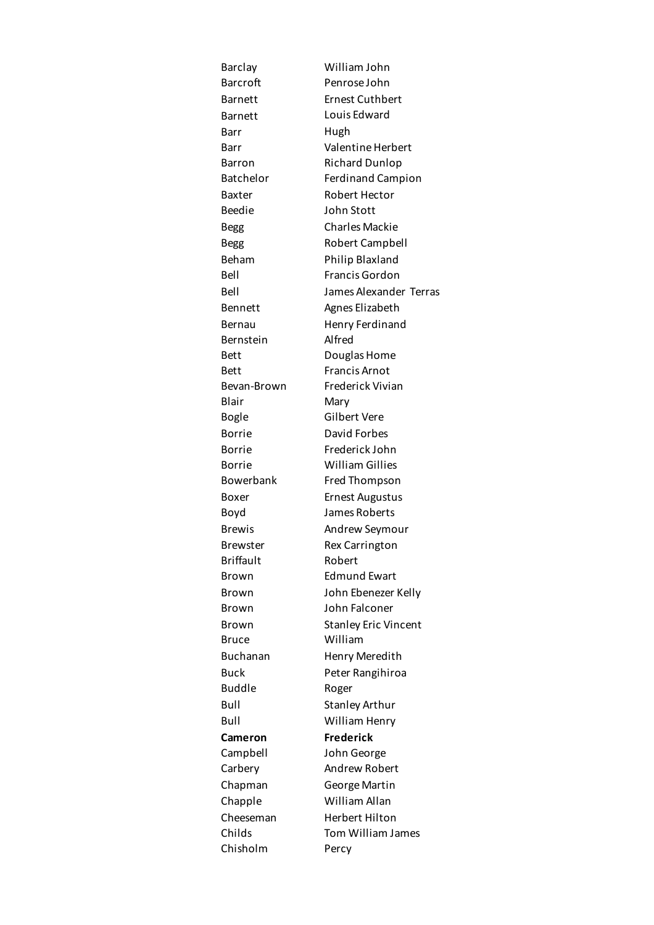Barclay William John Barcroft Penrose John Barnett Ernest Cuthbert Barnett Louis Edward Barr Hugh Barr Valentine Herbert Barron Richard Dunlop Batchelor Ferdinand Campion Baxter Robert Hector Beedie John Stott Begg Charles Mackie Begg Robert Campbell Beham Philip Blaxland Bell Francis Gordon Bell James Alexander Terras Bennett Agnes Elizabeth Bernau Henry Ferdinand Bernstein Alfred Bett Douglas Home Bett Francis Arnot Bevan-Brown Frederick Vivian Blair Mary Bogle Gilbert Vere Borrie David Forbes Borrie Frederick John Borrie William Gillies Bowerbank Fred Thompson Boxer Ernest Augustus Boyd James Roberts Brewis Andrew Seymour Brewster Rex Carrington Briffault Robert Brown Edmund Ewart Brown John Ebenezer Kelly Brown John Falconer Brown Stanley Eric Vincent Bruce William Buchanan Henry Meredith Buck Peter Rangihiroa Buddle Roger Bull Stanley Arthur Bull William Henry **Cameron Frederick**  Campbell John George Carbery Andrew Robert Chapman George Martin Chapple William Allan Cheeseman Herbert Hilton Childs Tom William James Chisholm Percy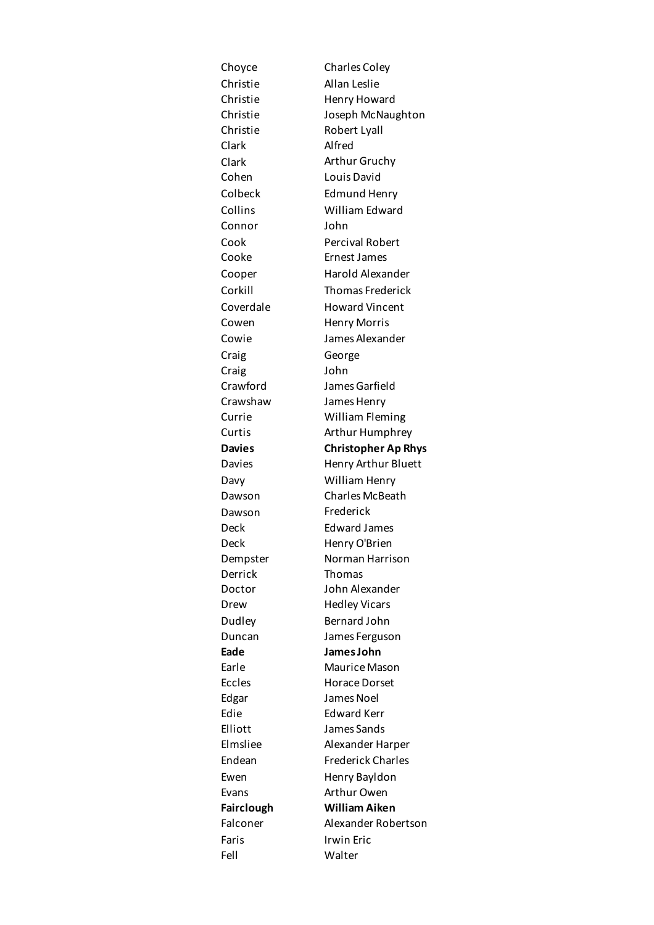| Choyce            | <b>Charles Coley</b>       |
|-------------------|----------------------------|
| Christie          | Allan Leslie               |
| Christie          | Henry Howard               |
| Christie          | Joseph McNaughton          |
| Christie          | Robert Lyall               |
| Clark             | Alfred                     |
| Clark             | Arthur Gruchy              |
| Cohen             | Louis David                |
| Colbeck           | <b>Edmund Henry</b>        |
| Collins           | William Edward             |
| Connor            | John                       |
| Cook              | <b>Percival Robert</b>     |
| Cooke             | Ernest James               |
| Cooper            | Harold Alexander           |
| Corkill           | <b>Thomas Frederick</b>    |
| Coverdale         | <b>Howard Vincent</b>      |
| Cowen             | <b>Henry Morris</b>        |
| Cowie             | James Alexander            |
| Craig             | George                     |
| Craig             | John                       |
| Crawford          | James Garfield             |
| Crawshaw          | James Henry                |
| Currie            | <b>William Fleming</b>     |
| Curtis            | Arthur Humphrey            |
| <b>Davies</b>     | <b>Christopher Ap Rhys</b> |
| Davies            | Henry Arthur Bluett        |
| Davy              | William Henry              |
| Dawson            | <b>Charles McBeath</b>     |
| Dawson            | Frederick                  |
| Deck              | <b>Edward James</b>        |
| Deck              | Henry O'Brien              |
| Dempster          | Norman Harrison            |
| Derrick           | Thomas                     |
| Doctor            | John Alexander             |
| Drew              | <b>Hedley Vicars</b>       |
| Dudley            | Bernard John               |
| Duncan            | James Ferguson             |
| Eade              | James John                 |
| Earle             | <b>Maurice Mason</b>       |
| <b>Eccles</b>     | <b>Horace Dorset</b>       |
| Edgar             | James Noel                 |
| Edie              | <b>Edward Kerr</b>         |
| Elliott           | James Sands                |
| Elmsliee          | Alexander Harper           |
| Endean            | <b>Frederick Charles</b>   |
| Ewen              | Henry Bayldon              |
| Evans             | Arthur Owen                |
| <b>Fairclough</b> | <b>William Aiken</b>       |
| Falconer          | Alexander Robertson        |
| Faris             | Irwin Eric                 |
| Fell              | Walter                     |
|                   |                            |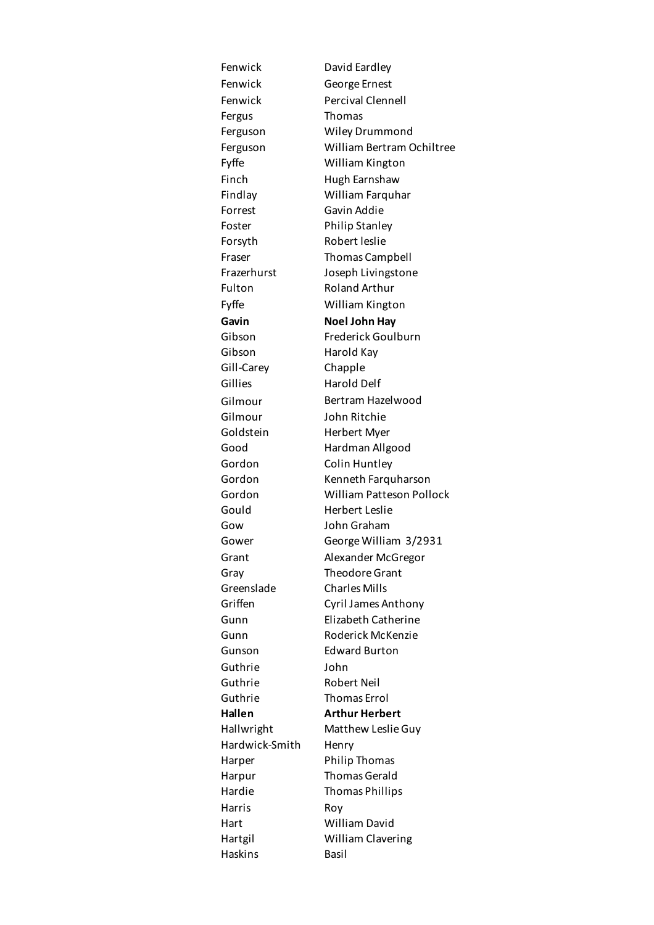Fenwick David Eardley Fenwick George Ernest Fenwick Percival Clennell Fergus Thomas Ferguson Wiley Drummond Ferguson William Bertram Ochiltree Fyffe William Kington Finch Hugh Earnshaw Findlay William Farquhar Forrest Gavin Addie Foster Philip Stanley Forsyth Robert leslie Fraser Thomas Campbell Frazerhurst Joseph Livingstone Fulton Roland Arthur Fyffe William Kington Gavin **Noel John Hay** Gibson Frederick Goulburn Gibson Harold Kay Gill-Carey Chapple Gillies Harold Delf Gilmour Bertram Hazelwood Gilmour John Ritchie Goldstein Herbert Myer Good Hardman Allgood Gordon Colin Huntley Gordon Kenneth Farquharson Gordon William Patteson Pollock Gould Herbert Leslie Gow John Graham Gower George William 3/2931 Grant Alexander McGregor Gray Theodore Grant Greenslade Charles Mills Griffen Cyril James Anthony Gunn Elizabeth Catherine Gunn Roderick McKenzie Gunson Edward Burton Guthrie John Guthrie Robert Neil Guthrie Thomas Errol **Hallen Arthur Herbert**  Hallwright Matthew Leslie Guy Hardwick-Smith Henry Harper Philip Thomas Harpur Thomas Gerald Hardie Thomas Phillips Harris Roy Hart William David Hartgil William Clavering Haskins Basil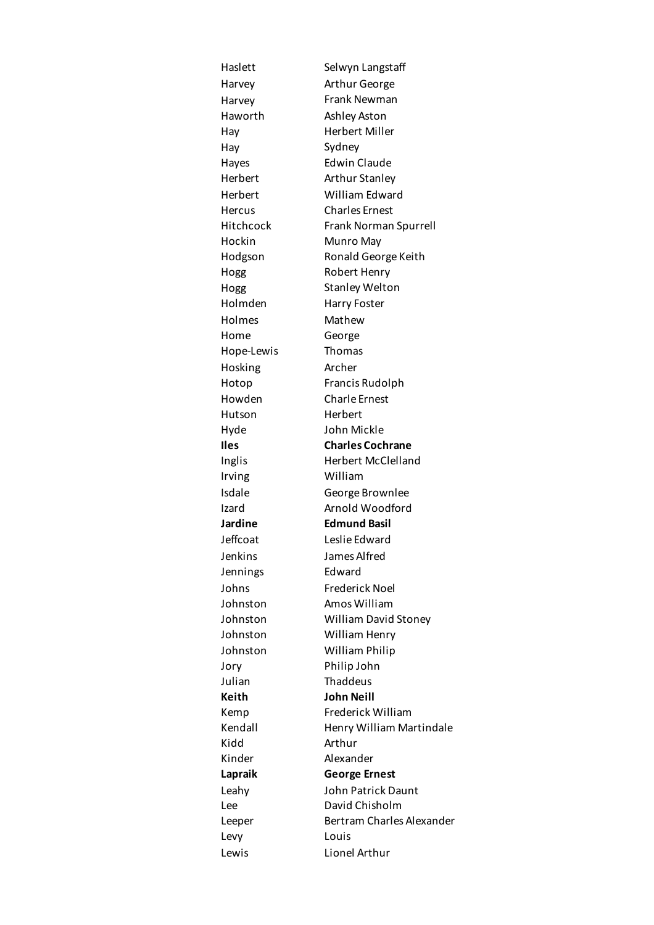Haslett Selwyn Langstaff Harvey **Arthur George** Harvey Frank Newman Haworth Ashley Aston Hay Herbert Miller Hay Sydney Hayes Edwin Claude Herbert Arthur Stanley Herbert William Edward Hercus Charles Ernest Hitchcock Frank Norman Spurrell Hockin Munro May Hodgson Ronald George Keith Hogg Robert Henry Hogg Stanley Welton Holmden Harry Foster Holmes Mathew Home George Hope-Lewis Thomas Hosking Archer Hotop Francis Rudolph Howden Charle Ernest Hutson Herbert Hyde John Mickle **Iles Charles Cochrane** Inglis Herbert McClelland Irving William Isdale George Brownlee Izard **Arnold Woodford Jardine Edmund Basil** Jeffcoat Leslie Edward Jenkins James Alfred Jennings Edward Johns Frederick Noel Johnston Amos William Johnston William David Stoney Johnston William Henry Johnston William Philip Jory Philip John Julian Thaddeus **Keith John Neill**  Kemp Frederick William Kendall Henry William Martindale Kidd Arthur Kinder Alexander **Lapraik George Ernest** Leahy John Patrick Daunt Lee David Chisholm Leeper Bertram Charles Alexander Levy Louis Lewis Lionel Arthur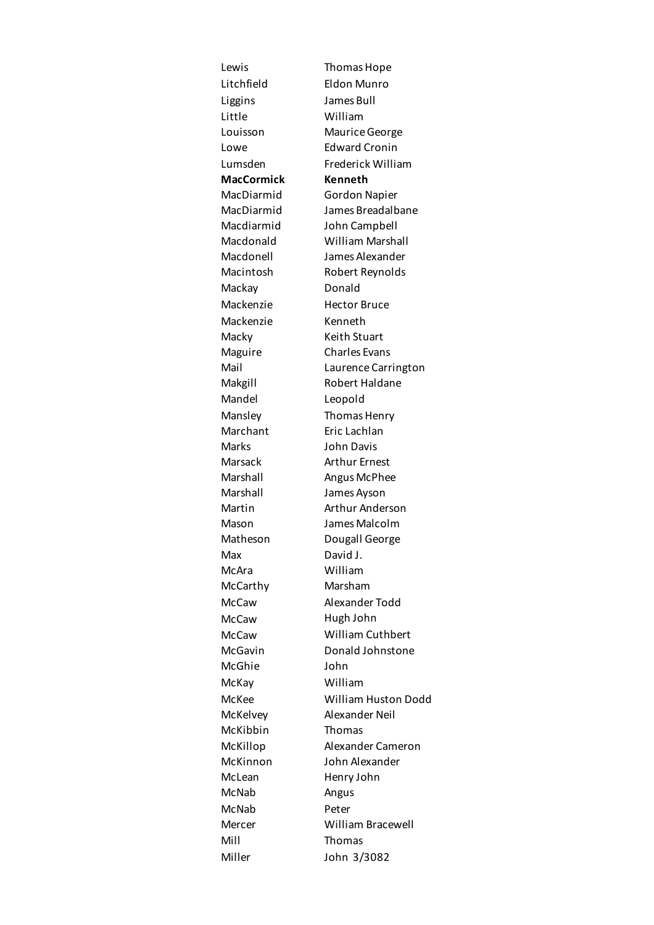Litchfield Eldon Munro Liggins James Bull Little William Louisson Maurice George Lowe Edward Cronin Lumsden Frederick William **MacCormick Kenneth**  MacDiarmid Gordon Napier MacDiarmid James Breadalbane Macdiarmid John Campbell Macdonald William Marshall Macdonell James Alexander Macintosh Robert Reynolds Mackay Donald Mackenzie Hector Bruce Mackenzie Kenneth Macky Keith Stuart Maguire Charles Evans Mail Laurence Carrington Makgill Robert Haldane Mandel Leopold Mansley Thomas Henry Marchant Eric Lachlan Marks John Davis Marsack Arthur Ernest Marshall Angus McPhee Marshall James Ayson Martin **Arthur Anderson** Mason James Malcolm Matheson Dougall George Max David J. McAra William McCarthy Marsham McCaw Alexander Todd McCaw Hugh John McCaw William Cuthbert McGavin Donald Johnstone McGhie John McKay William McKee William Huston Dodd McKelvey Alexander Neil McKibbin Thomas McKillop Alexander Cameron McKinnon John Alexander McLean Henry John McNab Angus McNab Peter Mercer William Bracewell Mill Thomas Miller John 3/3082

Lewis Thomas Hope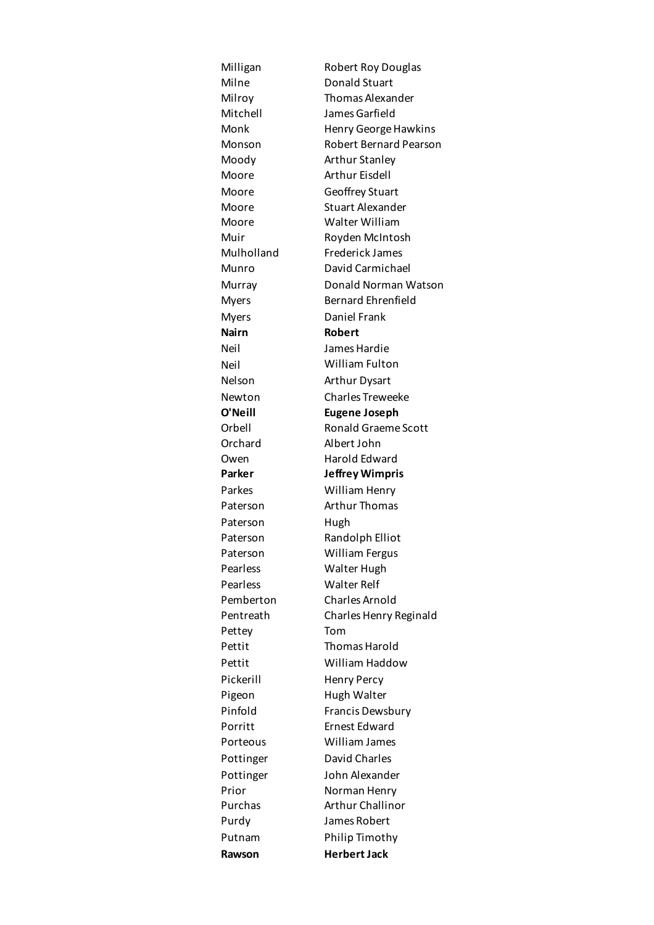Milligan Robert Roy Douglas Milne Donald Stuart Milroy Thomas Alexander Mitchell James Garfield Monk Henry George Hawkins Monson Robert Bernard Pearson Moody Arthur Stanley Moore Arthur Eisdell Moore Geoffrey Stuart Moore Stuart Alexander Moore Walter William Muir Royden McIntosh Mulholland Frederick James Munro David Carmichael Murray Donald Norman Watson Myers Bernard Ehrenfield Myers Daniel Frank **Nairn Robert** Neil James Hardie Neil William Fulton Nelson Arthur Dysart Newton Charles Treweeke **O'Neill Eugene Joseph**  Orbell Ronald Graeme Scott Orchard Albert John Owen Harold Edward **Parker Jeffrey Wimpris** Parkes William Henry Paterson Arthur Thomas Paterson Hugh Paterson Randolph Elliot Paterson William Fergus Pearless Walter Hugh Pearless Walter Relf Pemberton Charles Arnold Pentreath Charles Henry Reginald Pettey Tom Pettit Thomas Harold Pettit William Haddow Pickerill Henry Percy Pigeon Hugh Walter Pinfold Francis Dewsbury Porritt Ernest Edward Porteous William James Pottinger David Charles Pottinger John Alexander Prior **Norman Henry** Purchas Arthur Challinor Purdy James Robert Putnam Philip Timothy **Rawson Herbert Jack**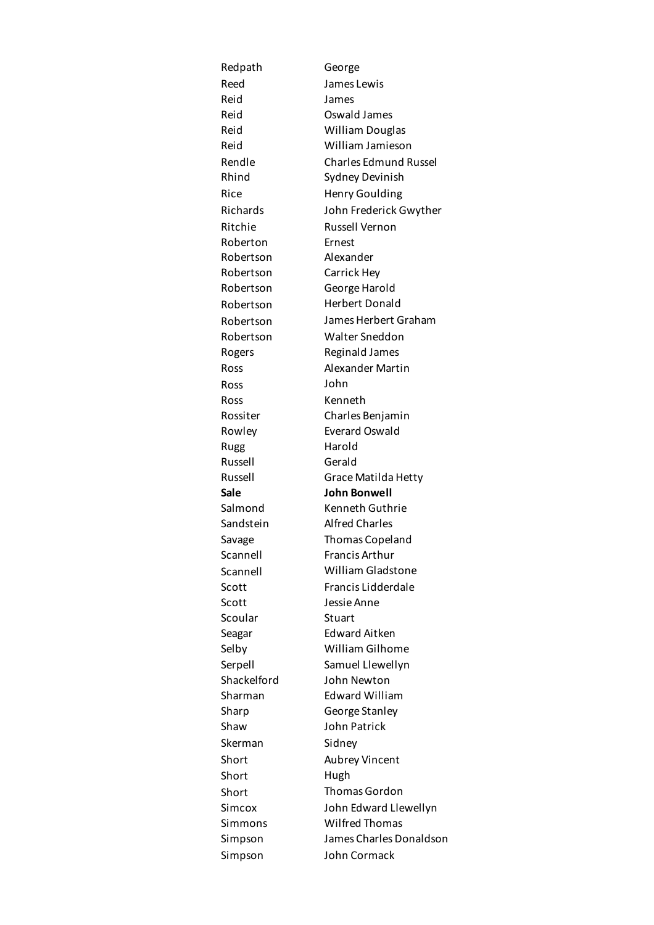| Redpath     | George                       |
|-------------|------------------------------|
| Reed        | James Lewis                  |
| Reid        | James                        |
| Reid        | Oswald James                 |
| Reid        | <b>William Douglas</b>       |
| Reid        | William Jamieson             |
| Rendle      | <b>Charles Edmund Russel</b> |
| Rhind       | Sydney Devinish              |
| Rice        | Henry Goulding               |
| Richards    | John Frederick Gwyther       |
| Ritchie     | Russell Vernon               |
| Roberton    | Ernest                       |
| Robertson   | Alexander                    |
| Robertson   | Carrick Hey                  |
| Robertson   | George Harold                |
| Robertson   | <b>Herbert Donald</b>        |
| Robertson   | James Herbert Graham         |
| Robertson   | <b>Walter Sneddon</b>        |
| Rogers      | Reginald James               |
| Ross        | Alexander Martin             |
| Ross        | John                         |
| Ross        | Kenneth                      |
| Rossiter    | Charles Benjamin             |
| Rowley      | <b>Everard Oswald</b>        |
| Rugg        | Harold                       |
| Russell     | Gerald                       |
| Russell     | Grace Matilda Hetty          |
| Sale        | <b>John Bonwell</b>          |
| Salmond     | Kenneth Guthrie              |
| Sandstein   | <b>Alfred Charles</b>        |
| Savage      | Thomas Copeland              |
| Scannell    | Francis Arthur               |
| Scannell    | <b>William Gladstone</b>     |
| Scott       | Francis Lidderdale           |
| Scott       | Jessie Anne                  |
| Scoular     | Stuart                       |
| Seagar      | <b>Edward Aitken</b>         |
| Selby       | William Gilhome              |
| Serpell     | Samuel Llewellyn             |
| Shackelford | John Newton                  |
| Sharman     | <b>Edward William</b>        |
| Sharp       | George Stanley               |
| Shaw        | John Patrick                 |
| Skerman     | Sidney                       |
| Short       | Aubrey Vincent               |
| Short       | Hugh                         |
| Short       | <b>Thomas Gordon</b>         |
| Simcox      | John Edward Llewellyn        |
| Simmons     | <b>Wilfred Thomas</b>        |
| Simpson     | James Charles Donaldson      |
| Simpson     | John Cormack                 |
|             |                              |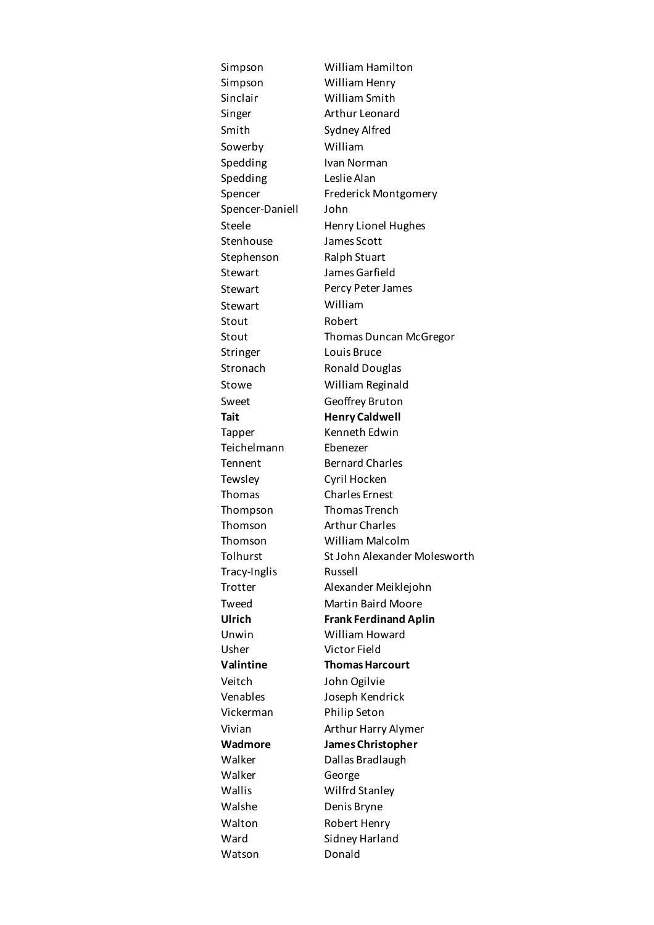Simpson William Hamilton Simpson William Henry Sinclair William Smith Singer **Arthur Leonard** Smith Sydney Alfred Sowerby William Spedding Ivan Norman Spedding Leslie Alan Spencer Frederick Montgomery Spencer-Daniell John Steele Henry Lionel Hughes Stenhouse James Scott Stephenson Ralph Stuart Stewart James Garfield Stewart Percy Peter James Stewart William Stout Robert Stout Thomas Duncan McGregor Stringer Louis Bruce Stronach Ronald Douglas Stowe William Reginald Sweet Geoffrey Bruton **Tait Henry Caldwell** Tapper Kenneth Edwin Teichelmann Ebenezer Tennent Bernard Charles Tewsley Cyril Hocken Thomas Charles Ernest Thompson Thomas Trench Thomson Arthur Charles Thomson William Malcolm Tracy-Inglis Russell Trotter Alexander Meiklejohn Tweed Martin Baird Moore **Ulrich Frank Ferdinand Aplin**  Unwin William Howard Usher Victor Field **Valintine Thomas Harcourt** Veitch John Ogilvie Venables Joseph Kendrick Vickerman Philip Seton Vivian Arthur Harry Alymer **Wadmore James Christopher** Walker Dallas Bradlaugh Walker George Wallis Wilfrd Stanley Walshe Denis Bryne Walton Robert Henry Ward Sidney Harland Watson Donald

Tolhurst St John Alexander Molesworth